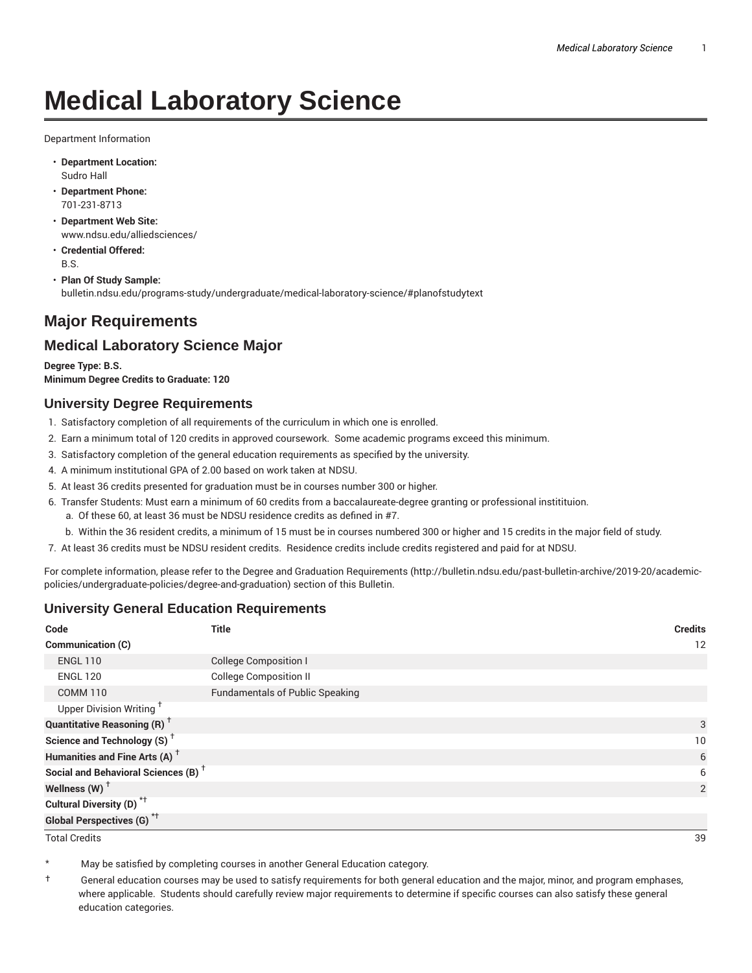# **Medical Laboratory Science**

Department Information

- **Department Location:** Sudro Hall
- **Department Phone:** 701-231-8713
- **Department Web Site:** www.ndsu.edu/alliedsciences/
- **Credential Offered:** B.S.
- **Plan Of Study Sample:** bulletin.ndsu.edu/programs-study/undergraduate/medical-laboratory-science/#planofstudytext

## **Major Requirements**

### **Medical Laboratory Science Major**

**Degree Type: B.S. Minimum Degree Credits to Graduate: 120**

#### **University Degree Requirements**

- 1. Satisfactory completion of all requirements of the curriculum in which one is enrolled.
- 2. Earn a minimum total of 120 credits in approved coursework. Some academic programs exceed this minimum.
- 3. Satisfactory completion of the general education requirements as specified by the university.
- 4. A minimum institutional GPA of 2.00 based on work taken at NDSU.
- 5. At least 36 credits presented for graduation must be in courses number 300 or higher.
- 6. Transfer Students: Must earn a minimum of 60 credits from a baccalaureate-degree granting or professional institituion.
	- a. Of these 60, at least 36 must be NDSU residence credits as defined in #7.
	- b. Within the 36 resident credits, a minimum of 15 must be in courses numbered 300 or higher and 15 credits in the major field of study.
- 7. At least 36 credits must be NDSU resident credits. Residence credits include credits registered and paid for at NDSU.

For complete information, please refer to the Degree and Graduation Requirements (http://bulletin.ndsu.edu/past-bulletin-archive/2019-20/academicpolicies/undergraduate-policies/degree-and-graduation) section of this Bulletin.

#### **University General Education Requirements**

| Code                                            | Title                                  | <b>Credits</b>  |
|-------------------------------------------------|----------------------------------------|-----------------|
| Communication (C)                               |                                        | 12              |
| <b>ENGL 110</b>                                 | <b>College Composition I</b>           |                 |
| <b>ENGL 120</b>                                 | <b>College Composition II</b>          |                 |
| <b>COMM 110</b>                                 | <b>Fundamentals of Public Speaking</b> |                 |
| Upper Division Writing <sup>+</sup>             |                                        |                 |
| <b>Quantitative Reasoning (R)</b> <sup>†</sup>  |                                        | 3               |
| Science and Technology (S) <sup>+</sup>         |                                        | 10 <sup>°</sup> |
| Humanities and Fine Arts (A) <sup>+</sup>       |                                        | 6               |
| Social and Behavioral Sciences (B) <sup>+</sup> |                                        | 6               |
| Wellness $(W)$ <sup>+</sup>                     |                                        | 2               |
| Cultural Diversity (D) <sup>*†</sup>            |                                        |                 |
| <b>Global Perspectives (G)<sup>*†</sup></b>     |                                        |                 |

Total Credits 39

May be satisfied by completing courses in another General Education category.

† General education courses may be used to satisfy requirements for both general education and the major, minor, and program emphases, where applicable. Students should carefully review major requirements to determine if specific courses can also satisfy these general education categories.